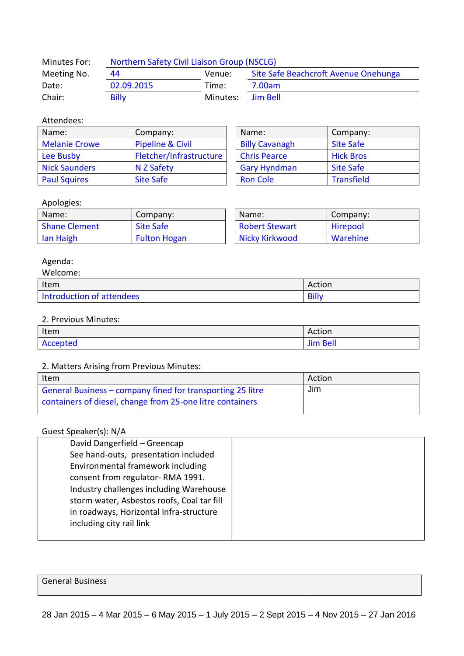| Minutes For: | Northern Safety Civil Liaison Group (NSCLG) |          |                                      |  |
|--------------|---------------------------------------------|----------|--------------------------------------|--|
| Meeting No.  | Venue:<br>44                                |          | Site Safe Beachcroft Avenue Onehunga |  |
| Date:        | 02.09.2015                                  | Time:    | 7.00am                               |  |
| Chair:       | <b>Billy</b>                                | Minutes: | Jim Bell                             |  |

### Attendees:

| Name:                | Company:                    |  | Name:                 | Company:          |
|----------------------|-----------------------------|--|-----------------------|-------------------|
| <b>Melanie Crowe</b> | <b>Pipeline &amp; Civil</b> |  | <b>Billy Cavanagh</b> | <b>Site Safe</b>  |
| Lee Busby            | Fletcher/Infrastructure     |  | <b>Chris Pearce</b>   | <b>Hick Bros</b>  |
| <b>Nick Saunders</b> | N Z Safety                  |  | <b>Gary Hyndman</b>   | <b>Site Safe</b>  |
| <b>Paul Squires</b>  | <b>Site Safe</b>            |  | <b>Ron Cole</b>       | <b>Transfield</b> |

| Name:                 | Company:          |  |
|-----------------------|-------------------|--|
| <b>Billy Cavanagh</b> | <b>Site Safe</b>  |  |
| <b>Chris Pearce</b>   | <b>Hick Bros</b>  |  |
| <b>Gary Hyndman</b>   | <b>Site Safe</b>  |  |
| <b>Ron Cole</b>       | <b>Transfield</b> |  |

# Apologies:

| Name:                | Company:            | Name:                 | Company: |
|----------------------|---------------------|-----------------------|----------|
| <b>Shane Clement</b> | <b>Site Safe</b>    | <b>Robert Stewart</b> | Hirepool |
| lan Haigh            | <b>Fulton Hogan</b> | Nicky Kirkwood        | Warehine |

# Agenda:

| Welcome:                  |              |
|---------------------------|--------------|
| Item                      | Action       |
| Introduction of attendees | <b>Billy</b> |

#### 2. Previous Minutes:

| Item     | Action          |
|----------|-----------------|
| Accepted | <b>Jim Bell</b> |

## 2. Matters Arising from Previous Minutes:

| Item                                                       | Action |
|------------------------------------------------------------|--------|
| General Business – company fined for transporting 25 litre | Jim    |
| containers of diesel, change from 25-one litre containers  |        |

### Guest Speaker(s): N/A

| David Dangerfield - Greencap               |
|--------------------------------------------|
| See hand-outs, presentation included       |
| Environmental framework including          |
| consent from regulator-RMA 1991.           |
| Industry challenges including Warehouse    |
| storm water, Asbestos roofs, Coal tar fill |
| in roadways, Horizontal Infra-structure    |
| including city rail link                   |
|                                            |

| <b>General Business</b> |  |
|-------------------------|--|